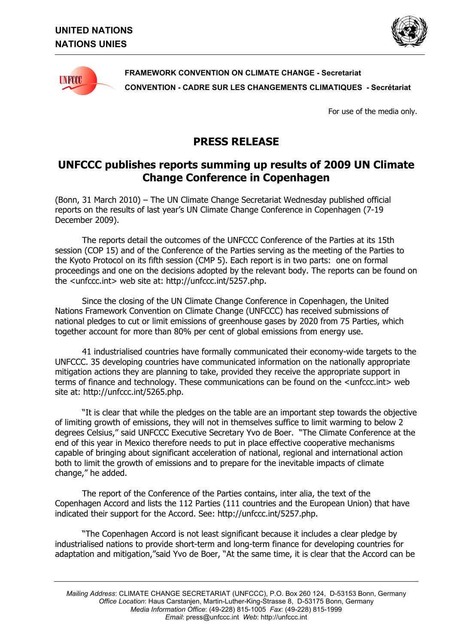



**FRAMEWORK CONVENTION ON CLIMATE CHANGE - Secretariat CONVENTION - CADRE SUR LES CHANGEMENTS CLIMATIQUES - Secrétariat** 

For use of the media only.

## **PRESS RELEASE**

## **UNFCCC publishes reports summing up results of 2009 UN Climate Change Conference in Copenhagen**

(Bonn, 31 March 2010) – The UN Climate Change Secretariat Wednesday published official reports on the results of last yearís UN Climate Change Conference in Copenhagen (7-19 December 2009).

The reports detail the outcomes of the UNFCCC Conference of the Parties at its 15th session (COP 15) and of the Conference of the Parties serving as the meeting of the Parties to the Kyoto Protocol on its fifth session (CMP 5). Each report is in two parts: one on formal proceedings and one on the decisions adopted by the relevant body. The reports can be found on the <unfccc.int> web site at: http://unfccc.int/5257.php.

Since the closing of the UN Climate Change Conference in Copenhagen, the United Nations Framework Convention on Climate Change (UNFCCC) has received submissions of national pledges to cut or limit emissions of greenhouse gases by 2020 from 75 Parties, which together account for more than 80% per cent of global emissions from energy use.

41 industrialised countries have formally communicated their economy-wide targets to the UNFCCC. 35 developing countries have communicated information on the nationally appropriate mitigation actions they are planning to take, provided they receive the appropriate support in terms of finance and technology. These communications can be found on the <unfccc.int> web site at: http://unfccc.int/5265.php.

If is clear that while the pledges on the table are an important step towards the objective of limiting growth of emissions, they will not in themselves suffice to limit warming to below 2 degrees Celsius," said UNFCCC Executive Secretary Yvo de Boer. "The Climate Conference at the end of this year in Mexico therefore needs to put in place effective cooperative mechanisms capable of bringing about significant acceleration of national, regional and international action both to limit the growth of emissions and to prepare for the inevitable impacts of climate change," he added.

The report of the Conference of the Parties contains, inter alia, the text of the Copenhagen Accord and lists the 112 Parties (111 countries and the European Union) that have indicated their support for the Accord. See: http://unfccc.int/5257.php.

ìThe Copenhagen Accord is not least significant because it includes a clear pledge by industrialised nations to provide short-term and long-term finance for developing countries for adaptation and mitigation,"said Yvo de Boer, "At the same time, it is clear that the Accord can be